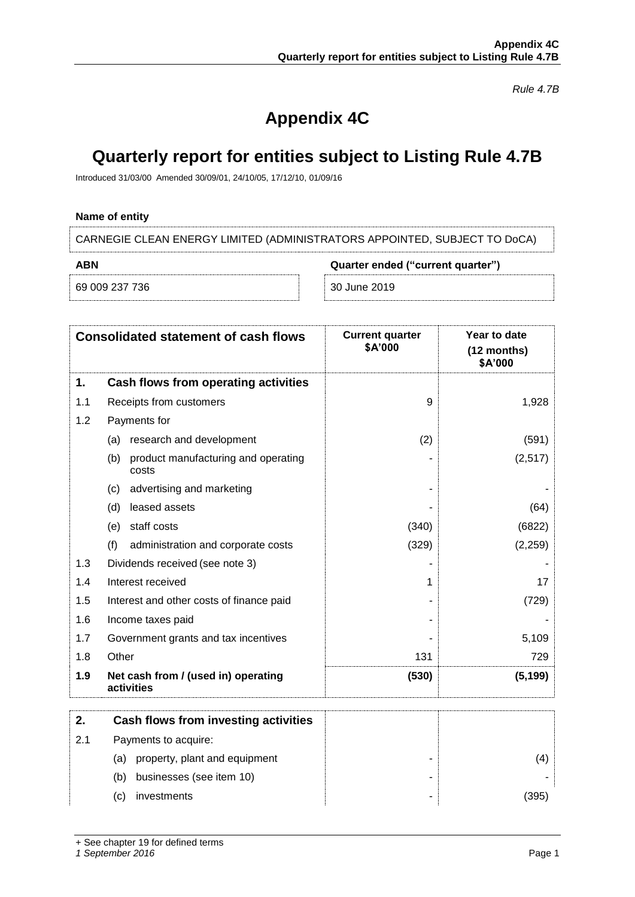*Rule 4.7B*

# **Appendix 4C**

## **Quarterly report for entities subject to Listing Rule 4.7B**

Introduced 31/03/00 Amended 30/09/01, 24/10/05, 17/12/10, 01/09/16

## **Name of entity**

CARNEGIE CLEAN ENERGY LIMITED (ADMINISTRATORS APPOINTED, SUBJECT TO DoCA)

| ABN            |  | Quarter ended ("current quarter") |  |
|----------------|--|-----------------------------------|--|
| 69 009 237 736 |  | 30 June 2019                      |  |

|              | <b>Consolidated statement of cash flows</b>       | <b>Current quarter</b><br>\$A'000 | Year to date<br>(12 months)<br>\$A'000 |
|--------------|---------------------------------------------------|-----------------------------------|----------------------------------------|
| 1.           | Cash flows from operating activities              |                                   |                                        |
| 1.1          | Receipts from customers                           | 9                                 | 1,928                                  |
| 1.2          | Payments for                                      |                                   |                                        |
| (a)          | research and development                          | (2)                               | (591)                                  |
| (b)          | product manufacturing and operating<br>costs      |                                   | (2, 517)                               |
| (c)          | advertising and marketing                         |                                   |                                        |
| (d)          | leased assets                                     |                                   | (64)                                   |
| (e)          | staff costs                                       | (340)                             | (6822)                                 |
| (f)          | administration and corporate costs                | (329)                             | (2, 259)                               |
| 1.3          | Dividends received (see note 3)                   |                                   |                                        |
| 1.4          | Interest received                                 | 1                                 | 17                                     |
| 1.5          | Interest and other costs of finance paid          |                                   | (729)                                  |
| 1.6          | Income taxes paid                                 |                                   |                                        |
| 1.7          | Government grants and tax incentives              |                                   | 5,109                                  |
| Other<br>1.8 |                                                   | 131                               | 729                                    |
| 1.9          | Net cash from / (used in) operating<br>activities | (530)                             | (5, 199)                               |
| 2.           | Cash flows from investing activities              |                                   |                                        |
| 2.1          | Payments to acquire:                              |                                   |                                        |
|              | (a) property, plant and equipment                 |                                   | (4)                                    |
| (b)          | businesses (see item 10)                          |                                   |                                        |
| (c)          | investments                                       |                                   | (395)                                  |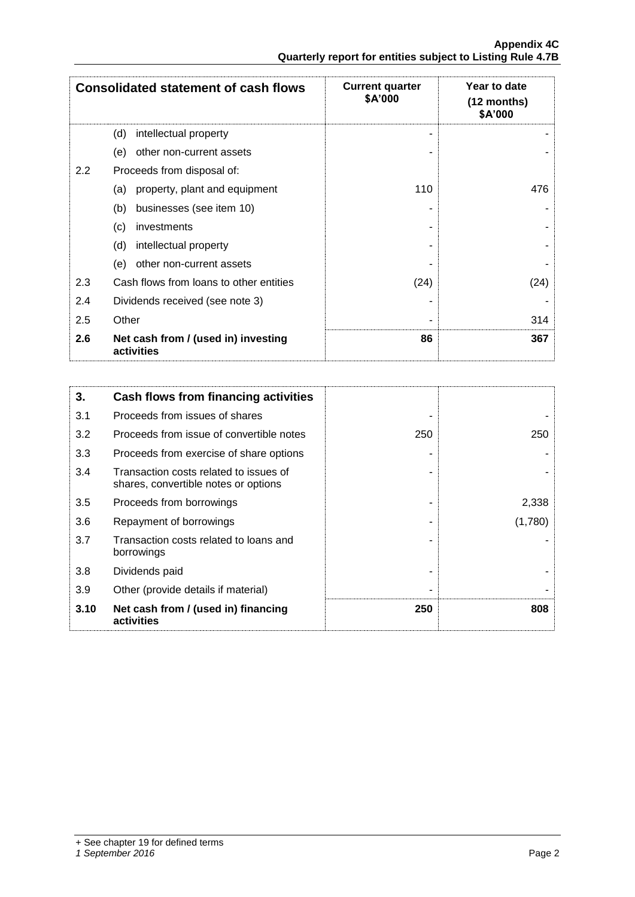|               | <b>Consolidated statement of cash flows</b>       | <b>Current quarter</b><br>\$A'000 | Year to date<br>$(12$ months)<br>\$A'000 |
|---------------|---------------------------------------------------|-----------------------------------|------------------------------------------|
|               | intellectual property<br>(d)                      |                                   |                                          |
|               | other non-current assets<br>(e)                   |                                   |                                          |
| $2.2^{\circ}$ | Proceeds from disposal of:                        |                                   |                                          |
|               | property, plant and equipment<br>(a)              | 110                               | 476                                      |
|               | businesses (see item 10)<br>(b)                   |                                   |                                          |
|               | investments<br>(c)                                |                                   |                                          |
|               | (d)<br>intellectual property                      |                                   |                                          |
|               | other non-current assets<br>(e)                   |                                   |                                          |
| 2.3           | Cash flows from loans to other entities           | (24)                              | (24)                                     |
| 2.4           | Dividends received (see note 3)                   |                                   |                                          |
| 2.5           | Other                                             |                                   | 314                                      |
| 2.6           | Net cash from / (used in) investing<br>activities | 86                                | 367                                      |

| 3.   | Cash flows from financing activities                                           |     |         |
|------|--------------------------------------------------------------------------------|-----|---------|
| 3.1  | Proceeds from issues of shares                                                 |     |         |
| 3.2  | Proceeds from issue of convertible notes                                       | 250 | 250     |
| 3.3  | Proceeds from exercise of share options                                        |     |         |
| 3.4  | Transaction costs related to issues of<br>shares, convertible notes or options |     |         |
| 3.5  | Proceeds from borrowings                                                       |     | 2,338   |
| 3.6  | Repayment of borrowings                                                        |     | (1,780) |
| 3.7  | Transaction costs related to loans and<br>borrowings                           |     |         |
| 3.8  | Dividends paid                                                                 |     |         |
| 3.9  | Other (provide details if material)                                            |     |         |
| 3.10 | Net cash from / (used in) financing<br>activities                              | 250 | 808     |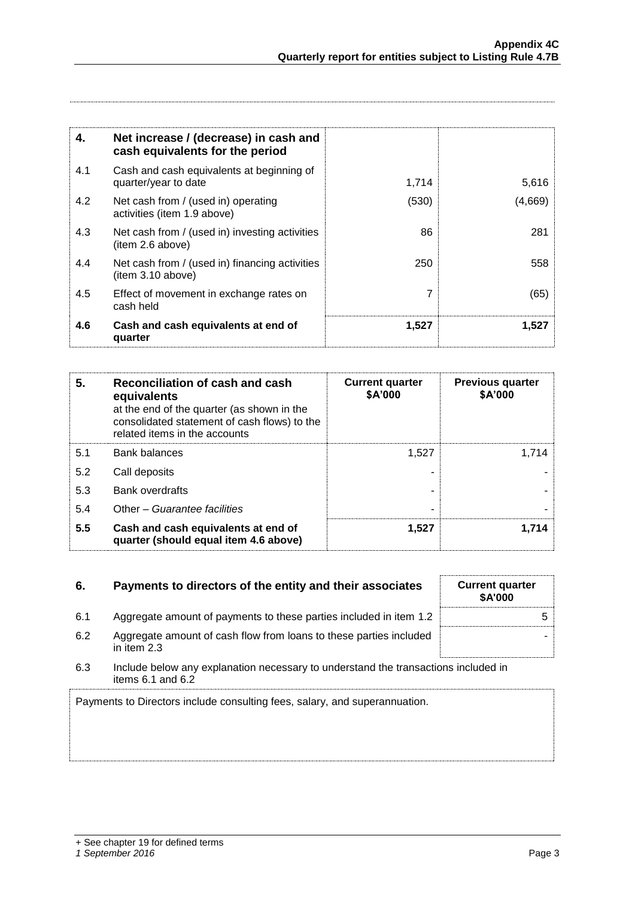| 4.  | Net increase / (decrease) in cash and<br>cash equivalents for the period |       |         |
|-----|--------------------------------------------------------------------------|-------|---------|
| 4.1 | Cash and cash equivalents at beginning of<br>quarter/year to date        | 1,714 | 5,616   |
| 4.2 | Net cash from / (used in) operating<br>activities (item 1.9 above)       | (530) | (4,669) |
| 4.3 | Net cash from / (used in) investing activities<br>(item 2.6 above)       | 86    | 281     |
| 4.4 | Net cash from / (used in) financing activities<br>(item 3.10 above)      | 250   | 558     |
| 4.5 | Effect of movement in exchange rates on<br>cash held                     |       | (65)    |
| 4.6 | Cash and cash equivalents at end of<br>quarter                           | 1,527 | 1,527   |

| 5.  | Reconciliation of cash and cash<br>equivalents<br>at the end of the quarter (as shown in the<br>consolidated statement of cash flows) to the<br>related items in the accounts | <b>Current quarter</b><br>\$A'000 | <b>Previous quarter</b><br>\$A'000 |
|-----|-------------------------------------------------------------------------------------------------------------------------------------------------------------------------------|-----------------------------------|------------------------------------|
| 5.1 | <b>Bank balances</b>                                                                                                                                                          | 1,527                             | 1.714                              |
| 5.2 | Call deposits                                                                                                                                                                 |                                   |                                    |
| 5.3 | <b>Bank overdrafts</b>                                                                                                                                                        |                                   |                                    |
| 5.4 | Other - Guarantee facilities                                                                                                                                                  | ۰                                 |                                    |
| 5.5 | Cash and cash equivalents at end of<br>quarter (should equal item 4.6 above)                                                                                                  | 1,527                             | 1.714                              |

| 6.  | Payments to directors of the entity and their associates                                                    | <b>Current quarter</b><br><b>\$A'000</b> |
|-----|-------------------------------------------------------------------------------------------------------------|------------------------------------------|
| 6.1 | Aggregate amount of payments to these parties included in item 1.2                                          |                                          |
| 6.2 | Aggregate amount of cash flow from loans to these parties included<br>in item 2.3                           |                                          |
| 6.3 | Include below any explanation necessary to understand the transactions included in<br>items $6.1$ and $6.2$ |                                          |

Payments to Directors include consulting fees, salary, and superannuation.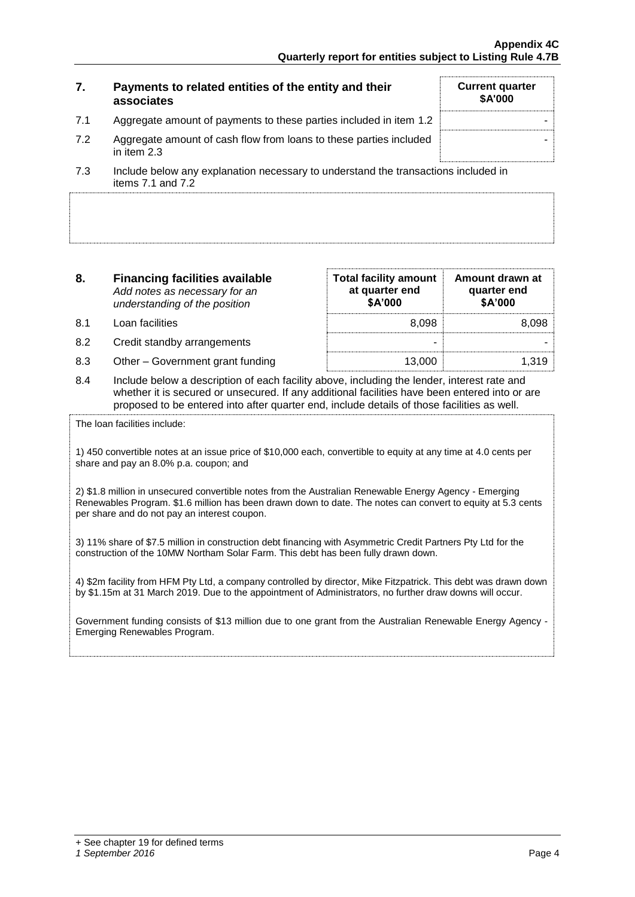| 7.  | Payments to related entities of the entity and their<br>associates                                        | <b>Current quarter</b><br><b>\$A'000</b> |
|-----|-----------------------------------------------------------------------------------------------------------|------------------------------------------|
| 7.1 | Aggregate amount of payments to these parties included in item 1.2                                        |                                          |
| 7.2 | Aggregate amount of cash flow from loans to these parties included<br>in item 2.3                         |                                          |
| 7.3 | Include below any explanation necessary to understand the transactions included in<br>items $71$ and $72$ |                                          |

| 8.   | <b>Financing facilities available</b><br>Add notes as necessary for an<br>understanding of the position | <b>Total facility amount</b><br>at quarter end<br>\$A'000 | Amount drawn at<br>quarter end<br>\$A'000 |
|------|---------------------------------------------------------------------------------------------------------|-----------------------------------------------------------|-------------------------------------------|
| .8.1 | Loan facilities                                                                                         | 8.098                                                     | 8.098                                     |
| 8.2  | Credit standby arrangements                                                                             | -                                                         |                                           |
| 8.3  | Other - Government grant funding                                                                        | 13.000                                                    | 1.319                                     |

8.4 Include below a description of each facility above, including the lender, interest rate and whether it is secured or unsecured. If any additional facilities have been entered into or are proposed to be entered into after quarter end, include details of those facilities as well.

The loan facilities include:

1) 450 convertible notes at an issue price of \$10,000 each, convertible to equity at any time at 4.0 cents per share and pay an 8.0% p.a. coupon; and

2) \$1.8 million in unsecured convertible notes from the Australian Renewable Energy Agency - Emerging Renewables Program. \$1.6 million has been drawn down to date. The notes can convert to equity at 5.3 cents per share and do not pay an interest coupon.

3) 11% share of \$7.5 million in construction debt financing with Asymmetric Credit Partners Pty Ltd for the construction of the 10MW Northam Solar Farm. This debt has been fully drawn down.

4) \$2m facility from HFM Pty Ltd, a company controlled by director, Mike Fitzpatrick. This debt was drawn down by \$1.15m at 31 March 2019. Due to the appointment of Administrators, no further draw downs will occur.

Government funding consists of \$13 million due to one grant from the Australian Renewable Energy Agency - Emerging Renewables Program.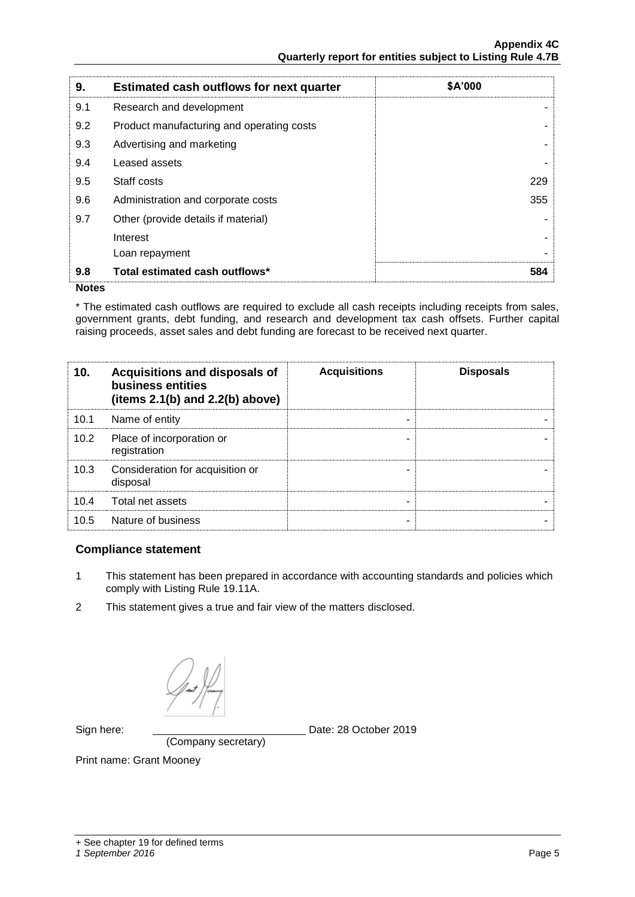| 9.  | <b>Estimated cash outflows for next quarter</b> | \$A'000 |
|-----|-------------------------------------------------|---------|
| 9.1 | Research and development                        |         |
| 9.2 | Product manufacturing and operating costs       |         |
| 9.3 | Advertising and marketing                       |         |
| 9.4 | Leased assets                                   |         |
| 9.5 | Staff costs                                     | 229     |
| 9.6 | Administration and corporate costs              | 355     |
| 9.7 | Other (provide details if material)             |         |
|     | Interest                                        |         |
|     | Loan repayment                                  |         |
| 9.8 | Total estimated cash outflows*                  | 584     |

#### **Notes**

\* The estimated cash outflows are required to exclude all cash receipts including receipts from sales, government grants, debt funding, and research and development tax cash offsets. Further capital raising proceeds, asset sales and debt funding are forecast to be received next quarter.

| 10.  | Acquisitions and disposals of<br>business entities<br>(items $2.1(b)$ and $2.2(b)$ above) | <b>Acquisitions</b> | <b>Disposals</b> |
|------|-------------------------------------------------------------------------------------------|---------------------|------------------|
| 10.1 | Name of entity                                                                            | ۰                   |                  |
| 10.2 | Place of incorporation or<br>registration                                                 |                     |                  |
| 10.3 | Consideration for acquisition or<br>disposal                                              |                     |                  |
| 10.4 | Total net assets                                                                          | -                   |                  |
| 10.5 | Nature of business                                                                        | ٠                   |                  |

### **Compliance statement**

- 1 This statement has been prepared in accordance with accounting standards and policies which comply with Listing Rule 19.11A.
- 2 This statement gives a true and fair view of the matters disclosed.

(Company secretary)

Sign here: Date: 28 October 2019

Print name: Grant Mooney